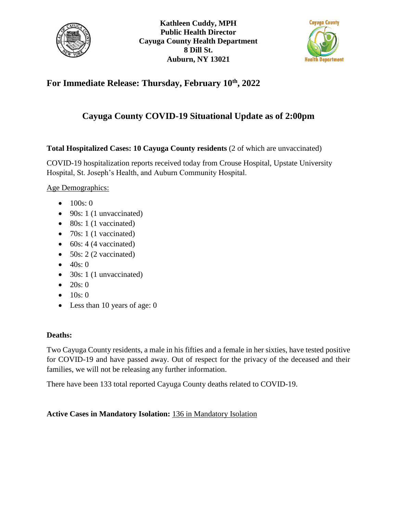



## **For Immediate Release: Thursday, February 10th, 2022**

## **Cayuga County COVID-19 Situational Update as of 2:00pm**

**Total Hospitalized Cases: 10 Cayuga County residents** (2 of which are unvaccinated)

COVID-19 hospitalization reports received today from Crouse Hospital, Upstate University Hospital, St. Joseph's Health, and Auburn Community Hospital.

Age Demographics:

- $\bullet$  100s: 0
- $\bullet$  90s: 1 (1 unvaccinated)
- $\bullet$  80s: 1 (1 vaccinated)
- $\bullet$  70s: 1 (1 vaccinated)
- $\bullet$  60s: 4 (4 vaccinated)
- $\bullet$  50s: 2 (2 vaccinated)
- $-40s:0$
- $\bullet$  30s: 1 (1 unvaccinated)
- $\bullet$  20s: 0
- $\bullet$  10s: 0
- Less than 10 years of age: 0

## **Deaths:**

Two Cayuga County residents, a male in his fifties and a female in her sixties, have tested positive for COVID-19 and have passed away. Out of respect for the privacy of the deceased and their families, we will not be releasing any further information.

There have been 133 total reported Cayuga County deaths related to COVID-19.

## **Active Cases in Mandatory Isolation:** 136 in Mandatory Isolation